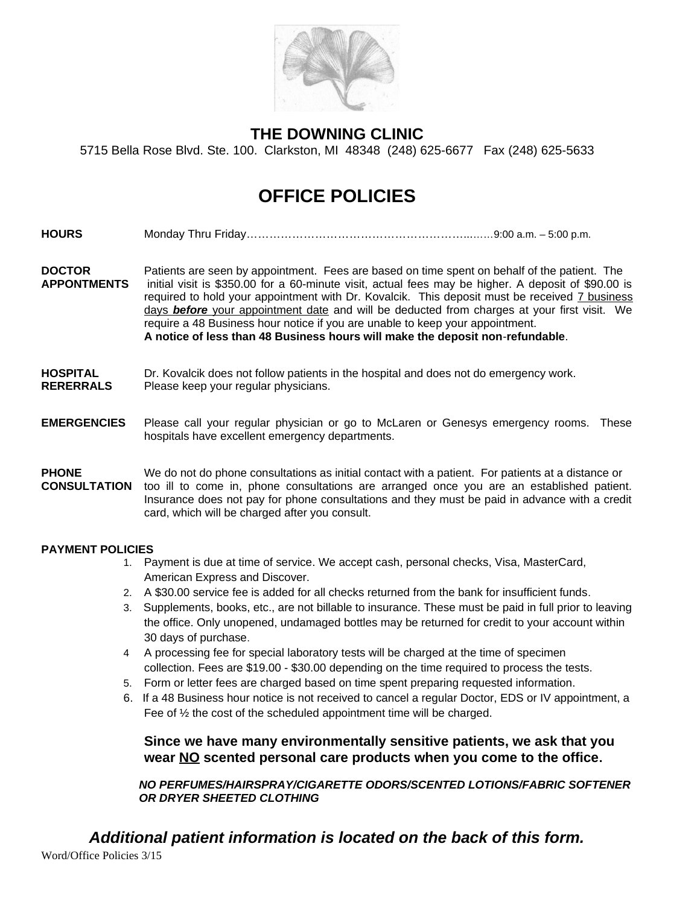

### **THE DOWNING CLINIC**

5715 Bella Rose Blvd. Ste. 100. Clarkston, MI 48348 (248) 625-6677 Fax (248) 625-5633

## **OFFICE POLICIES**

- **HOURS** Monday Thru Friday…………………………………………………...……9:00 a.m. 5:00 p.m.
- **DOCTOR** Patients are seen by appointment. Fees are based on time spent on behalf of the patient. The **APPONTMENTS** initial visit is \$350.00 for a 60-minute visit, actual fees may be higher. A deposit of \$90.00 is required to hold your appointment with Dr. Kovalcik. This deposit must be received 7 business days *before* your appointment date and will be deducted from charges at your first visit. We require a 48 Business hour notice if you are unable to keep your appointment. **A notice of less than 48 Business hours will make the deposit non**-**refundable**.
- **HOSPITAL** Dr. Kovalcik does not follow patients in the hospital and does not do emergency work.
- **RERERRALS** Please keep your regular physicians.

#### **EMERGENCIES** Please call your regular physician or go to McLaren or Genesys emergency rooms. These hospitals have excellent emergency departments.

#### **PHONE** We do not do phone consultations as initial contact with a patient. For patients at a distance or **CONSULTATION** too ill to come in, phone consultations are arranged once you are an established patient. Insurance does not pay for phone consultations and they must be paid in advance with a credit card, which will be charged after you consult.

#### **PAYMENT POLICIES**

- 1. Payment is due at time of service. We accept cash, personal checks, Visa, MasterCard, American Express and Discover.
- 2. A \$30.00 service fee is added for all checks returned from the bank for insufficient funds.
- 3. Supplements, books, etc., are not billable to insurance. These must be paid in full prior to leaving the office. Only unopened, undamaged bottles may be returned for credit to your account within 30 days of purchase.
- 4 A processing fee for special laboratory tests will be charged at the time of specimen collection. Fees are \$19.00 - \$30.00 depending on the time required to process the tests.
- 5. Form or letter fees are charged based on time spent preparing requested information.
- 6. If a 48 Business hour notice is not received to cancel a regular Doctor, EDS or IV appointment, a Fee of ½ the cost of the scheduled appointment time will be charged.

**Since we have many environmentally sensitive patients, we ask that you wear NO scented personal care products when you come to the office.**

*NO PERFUMES/HAIRSPRAY/CIGARETTE ODORS/SCENTED LOTIONS/FABRIC SOFTENER OR DRYER SHEETED CLOTHING*